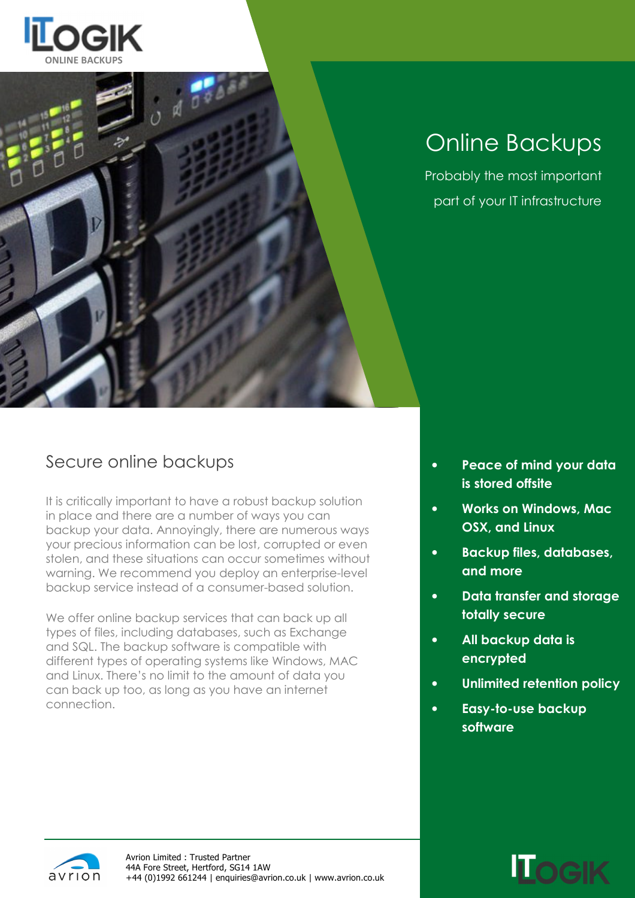



# Online Backups

Probably the most important part of your IT infrastructure

### Secure online backups

It is critically important to have a robust backup solution in place and there are a number of ways you can backup your data. Annoyingly, there are numerous ways your precious information can be lost, corrupted or even stolen, and these situations can occur sometimes without warning. We recommend you deploy an enterprise-level backup service instead of a consumer-based solution.

We offer online backup services that can back up all types of files, including databases, such as Exchange and SQL. The backup software is compatible with different types of operating systems like Windows, MAC and Linux. There's no limit to the amount of data you can back up too, as long as you have an internet connection.

- Peace of mind your data is stored offsite
- Works on Windows, Mac OSX, and Linux
- Backup files, databases, and more
- Data transfer and storage totally secure
- All backup data is encrypted
- Unlimited retention policy
- Easy-to-use backup software